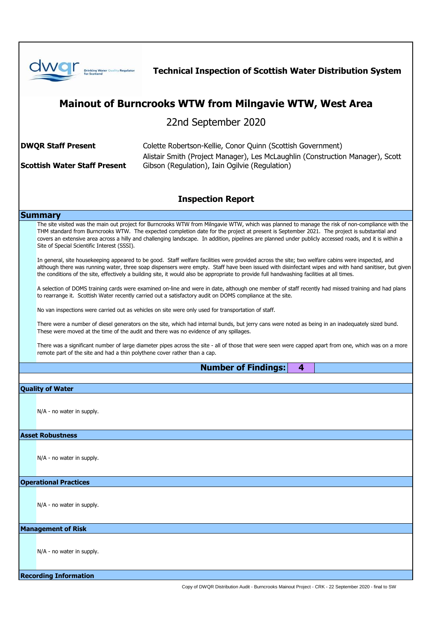| <b>Drinking Water Quality Regulator</b>                                                                                                                                                                                                                                                                                                                                                                                                                                                                   | <b>Technical Inspection of Scottish Water Distribution System</b>                                                                                                                               |
|-----------------------------------------------------------------------------------------------------------------------------------------------------------------------------------------------------------------------------------------------------------------------------------------------------------------------------------------------------------------------------------------------------------------------------------------------------------------------------------------------------------|-------------------------------------------------------------------------------------------------------------------------------------------------------------------------------------------------|
| <b>Mainout of Burncrooks WTW from Milngavie WTW, West Area</b>                                                                                                                                                                                                                                                                                                                                                                                                                                            |                                                                                                                                                                                                 |
|                                                                                                                                                                                                                                                                                                                                                                                                                                                                                                           | 22nd September 2020                                                                                                                                                                             |
| <b>DWQR Staff Present</b><br><b>Scottish Water Staff Present</b>                                                                                                                                                                                                                                                                                                                                                                                                                                          | Colette Robertson-Kellie, Conor Quinn (Scottish Government)<br>Alistair Smith (Project Manager), Les McLaughlin (Construction Manager), Scott<br>Gibson (Regulation), Iain Ogilvie (Regulation) |
| <b>Inspection Report</b>                                                                                                                                                                                                                                                                                                                                                                                                                                                                                  |                                                                                                                                                                                                 |
| <b>Summary</b>                                                                                                                                                                                                                                                                                                                                                                                                                                                                                            |                                                                                                                                                                                                 |
| The site visited was the main out project for Burncrooks WTW from Milngavie WTW, which was planned to manage the risk of non-compliance with the<br>THM standard from Burncrooks WTW. The expected completion date for the project at present is September 2021. The project is substantial and<br>covers an extensive area across a hilly and challenging landscape. In addition, pipelines are planned under publicly accessed roads, and it is within a<br>Site of Special Scientific Interest (SSSI). |                                                                                                                                                                                                 |
| In general, site housekeeping appeared to be good. Staff welfare facilities were provided across the site; two welfare cabins were inspected, and<br>although there was running water, three soap dispensers were empty. Staff have been issued with disinfectant wipes and with hand sanitiser, but given<br>the conditions of the site, effectively a building site, it would also be appropriate to provide full handwashing facilities at all times.                                                  |                                                                                                                                                                                                 |
| A selection of DOMS training cards were examined on-line and were in date, although one member of staff recently had missed training and had plans<br>to rearrange it. Scottish Water recently carried out a satisfactory audit on DOMS compliance at the site.                                                                                                                                                                                                                                           |                                                                                                                                                                                                 |
| No van inspections were carried out as vehicles on site were only used for transportation of staff.                                                                                                                                                                                                                                                                                                                                                                                                       |                                                                                                                                                                                                 |
| There were a number of diesel generators on the site, which had internal bunds, but jerry cans were noted as being in an inadequately sized bund.<br>These were moved at the time of the audit and there was no evidence of any spillages.                                                                                                                                                                                                                                                                |                                                                                                                                                                                                 |
| There was a significant number of large diameter pipes across the site - all of those that were seen were capped apart from one, which was on a more<br>remote part of the site and had a thin polythene cover rather than a cap.                                                                                                                                                                                                                                                                         |                                                                                                                                                                                                 |
| <b>Number of Findings:</b><br>4                                                                                                                                                                                                                                                                                                                                                                                                                                                                           |                                                                                                                                                                                                 |
|                                                                                                                                                                                                                                                                                                                                                                                                                                                                                                           |                                                                                                                                                                                                 |
| <b>Quality of Water</b>                                                                                                                                                                                                                                                                                                                                                                                                                                                                                   |                                                                                                                                                                                                 |
| $N/A$ - no water in supply.                                                                                                                                                                                                                                                                                                                                                                                                                                                                               |                                                                                                                                                                                                 |
| <b>Asset Robustness</b>                                                                                                                                                                                                                                                                                                                                                                                                                                                                                   |                                                                                                                                                                                                 |
| N/A - no water in supply.                                                                                                                                                                                                                                                                                                                                                                                                                                                                                 |                                                                                                                                                                                                 |
| <b>Operational Practices</b>                                                                                                                                                                                                                                                                                                                                                                                                                                                                              |                                                                                                                                                                                                 |
| N/A - no water in supply.                                                                                                                                                                                                                                                                                                                                                                                                                                                                                 |                                                                                                                                                                                                 |
| <b>Management of Risk</b>                                                                                                                                                                                                                                                                                                                                                                                                                                                                                 |                                                                                                                                                                                                 |
| N/A - no water in supply.                                                                                                                                                                                                                                                                                                                                                                                                                                                                                 |                                                                                                                                                                                                 |
| <b>Recording Information</b>                                                                                                                                                                                                                                                                                                                                                                                                                                                                              |                                                                                                                                                                                                 |
| Copy of DWQR Distribution Audit - Burncrooks Mainout Project - CRK - 22 September 2020 - final to SW                                                                                                                                                                                                                                                                                                                                                                                                      |                                                                                                                                                                                                 |